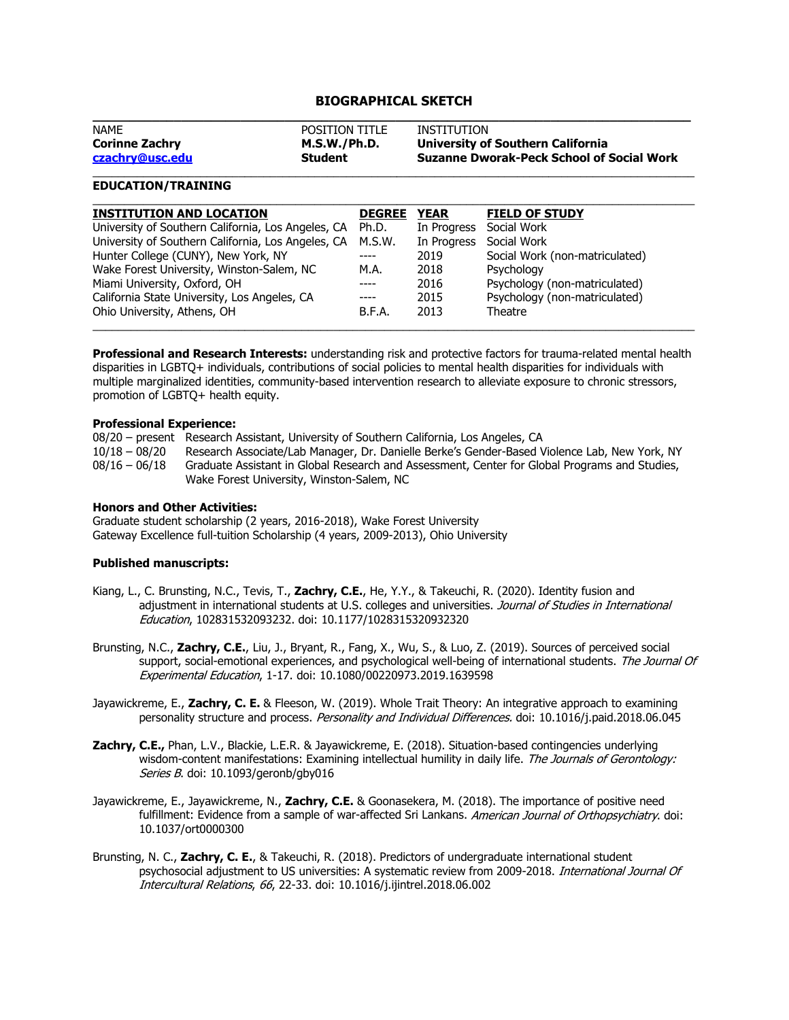# **BIOGRAPHICAL SKETCH**

| <b>Corinne Zachry</b><br>czachry@usc.edu | M.S.W./Ph.D.<br><b>Student</b> | <b>University of Southern California</b><br><b>Suzanne Dworak-Peck School of Social Work</b> |  |  |
|------------------------------------------|--------------------------------|----------------------------------------------------------------------------------------------|--|--|
|                                          |                                |                                                                                              |  |  |
| <b>NAME</b>                              | <b>POSITION TITLE</b>          | INSTITUTION                                                                                  |  |  |

#### **EDUCATION/TRAINING**

| <b>INSTITUTION AND LOCATION</b>                    | <b>DEGREE</b> | YEAR        | <b>FIELD OF STUDY</b>          |
|----------------------------------------------------|---------------|-------------|--------------------------------|
| University of Southern California, Los Angeles, CA | Ph.D.         | In Progress | Social Work                    |
| University of Southern California, Los Angeles, CA | M.S.W.        | In Progress | Social Work                    |
| Hunter College (CUNY), New York, NY                |               | 2019        | Social Work (non-matriculated) |
| Wake Forest University, Winston-Salem, NC          | M.A.          | 2018        | Psychology                     |
| Miami University, Oxford, OH                       | ----          | 2016        | Psychology (non-matriculated)  |
| California State University, Los Angeles, CA       | ----          | 2015        | Psychology (non-matriculated)  |
| Ohio University, Athens, OH                        | B.F.A.        | 2013        | <b>Theatre</b>                 |

**Professional and Research Interests:** understanding risk and protective factors for trauma-related mental health disparities in LGBTQ+ individuals, contributions of social policies to mental health disparities for individuals with multiple marginalized identities, community-based intervention research to alleviate exposure to chronic stressors, promotion of LGBTQ+ health equity.

# **Professional Experience:**

08/20 – present Research Assistant, University of Southern California, Los Angeles, CA 10/18 – 08/20 Research Associate/Lab Manager, Dr. Danielle Berke's Gender-Based Violence Lab, New York, NY Graduate Assistant in Global Research and Assessment, Center for Global Programs and Studies, Wake Forest University, Winston-Salem, NC

#### **Honors and Other Activities:**

Graduate student scholarship (2 years, 2016-2018), Wake Forest University Gateway Excellence full-tuition Scholarship (4 years, 2009-2013), Ohio University

## **Published manuscripts:**

- Kiang, L., C. Brunsting, N.C., Tevis, T., **Zachry, C.E.**, He, Y.Y., & Takeuchi, R. (2020). Identity fusion and adjustment in international students at U.S. colleges and universities. Journal of Studies in International Education, 102831532093232. doi: 10.1177/1028315320932320
- Brunsting, N.C., **Zachry, C.E.**, Liu, J., Bryant, R., Fang, X., Wu, S., & Luo, Z. (2019). Sources of perceived social support, social-emotional experiences, and psychological well-being of international students. The Journal Of Experimental Education, 1-17. doi: 10.1080/00220973.2019.1639598
- Jayawickreme, E., **Zachry, C. E.** & Fleeson, W. (2019). Whole Trait Theory: An integrative approach to examining personality structure and process. Personality and Individual Differences. doi: 10.1016/j.paid.2018.06.045
- **Zachry, C.E.,** Phan, L.V., Blackie, L.E.R. & Jayawickreme, E. (2018). Situation-based contingencies underlying wisdom-content manifestations: Examining intellectual humility in daily life. The Journals of Gerontology: Series B. doi: 10.1093/geronb/gby016
- Jayawickreme, E., Jayawickreme, N., **Zachry, C.E.** & Goonasekera, M. (2018). The importance of positive need fulfillment: Evidence from a sample of war-affected Sri Lankans. American Journal of Orthopsychiatry. doi: 10.1037/ort0000300
- Brunsting, N. C., **Zachry, C. E.**, & Takeuchi, R. (2018). Predictors of undergraduate international student psychosocial adjustment to US universities: A systematic review from 2009-2018. International Journal Of Intercultural Relations, 66, 22-33. doi: 10.1016/j.ijintrel.2018.06.002